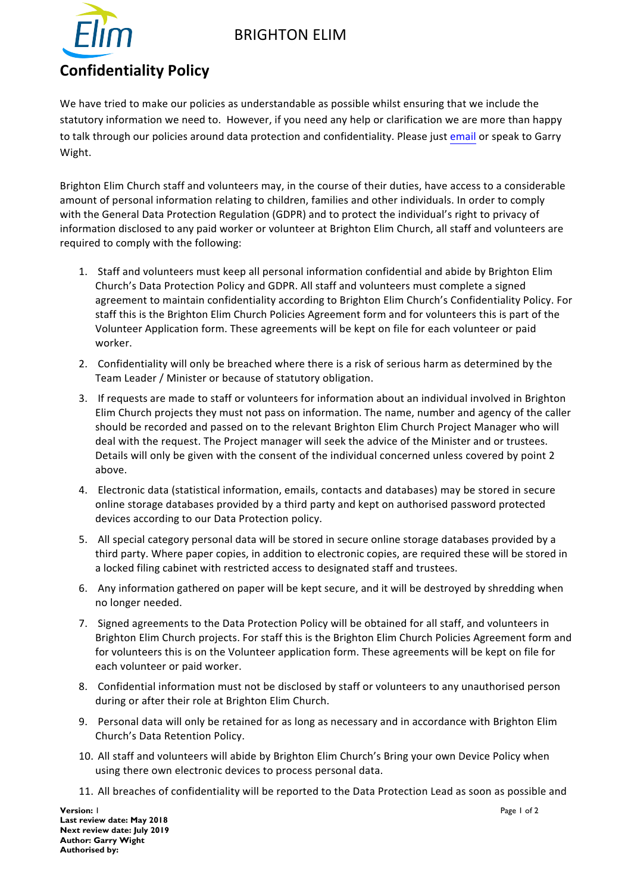## BRIGHTON ELIM



We have tried to make our policies as understandable as possible whilst ensuring that we include the statutory information we need to. However, if you need any help or clarification we are more than happy to talk through our policies around data protection and confidentiality. Please just email or speak to Garry Wight.

Brighton Elim Church staff and volunteers may, in the course of their duties, have access to a considerable amount of personal information relating to children, families and other individuals. In order to comply with the General Data Protection Regulation (GDPR) and to protect the individual's right to privacy of information disclosed to any paid worker or volunteer at Brighton Elim Church, all staff and volunteers are required to comply with the following:

- 1. Staff and volunteers must keep all personal information confidential and abide by Brighton Elim Church's Data Protection Policy and GDPR. All staff and volunteers must complete a signed agreement to maintain confidentiality according to Brighton Elim Church's Confidentiality Policy. For staff this is the Brighton Elim Church Policies Agreement form and for volunteers this is part of the Volunteer Application form. These agreements will be kept on file for each volunteer or paid worker.
- 2. Confidentiality will only be breached where there is a risk of serious harm as determined by the Team Leader / Minister or because of statutory obligation.
- 3. If requests are made to staff or volunteers for information about an individual involved in Brighton Elim Church projects they must not pass on information. The name, number and agency of the caller should be recorded and passed on to the relevant Brighton Elim Church Project Manager who will deal with the request. The Project manager will seek the advice of the Minister and or trustees. Details will only be given with the consent of the individual concerned unless covered by point 2 above.
- 4. Electronic data (statistical information, emails, contacts and databases) may be stored in secure online storage databases provided by a third party and kept on authorised password protected devices according to our Data Protection policy.
- 5. All special category personal data will be stored in secure online storage databases provided by a third party. Where paper copies, in addition to electronic copies, are required these will be stored in a locked filing cabinet with restricted access to designated staff and trustees.
- 6. Any information gathered on paper will be kept secure, and it will be destroyed by shredding when no longer needed.
- 7. Signed agreements to the Data Protection Policy will be obtained for all staff, and volunteers in Brighton Elim Church projects. For staff this is the Brighton Elim Church Policies Agreement form and for volunteers this is on the Volunteer application form. These agreements will be kept on file for each volunteer or paid worker.
- 8. Confidential information must not be disclosed by staff or volunteers to any unauthorised person during or after their role at Brighton Elim Church.
- 9. Personal data will only be retained for as long as necessary and in accordance with Brighton Elim Church's Data Retention Policy.
- 10. All staff and volunteers will abide by Brighton Elim Church's Bring your own Device Policy when using there own electronic devices to process personal data.
- 11. All breaches of confidentiality will be reported to the Data Protection Lead as soon as possible and